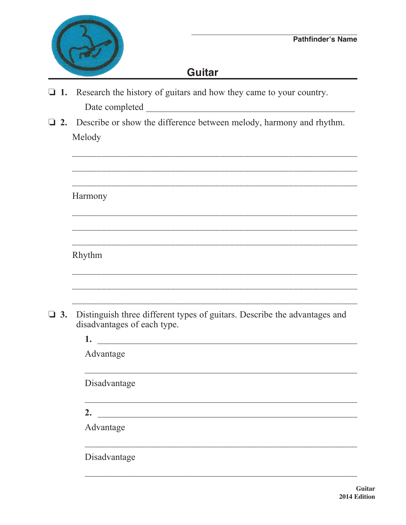

## **Guitar**

- $\Box$  1. Research the history of guitars and how they came to your country.
- **12.** Describe or show the difference between melody, harmony and rhythm. Melody

|           | Harmony                                                                                                  |  |  |  |  |
|-----------|----------------------------------------------------------------------------------------------------------|--|--|--|--|
|           |                                                                                                          |  |  |  |  |
|           |                                                                                                          |  |  |  |  |
|           |                                                                                                          |  |  |  |  |
|           | Rhythm                                                                                                   |  |  |  |  |
|           |                                                                                                          |  |  |  |  |
|           |                                                                                                          |  |  |  |  |
|           |                                                                                                          |  |  |  |  |
| $\Box$ 3. | Distinguish three different types of guitars. Describe the advantages and<br>disadvantages of each type. |  |  |  |  |
|           | 1.<br><u> 1989 - Jan Barnett, fransk politik (d. 1989)</u>                                               |  |  |  |  |
|           | Advantage                                                                                                |  |  |  |  |
|           |                                                                                                          |  |  |  |  |
|           | Disadvantage                                                                                             |  |  |  |  |
|           |                                                                                                          |  |  |  |  |
|           | 2. $\qquad \qquad$                                                                                       |  |  |  |  |
|           | Advantage                                                                                                |  |  |  |  |
|           | Disadvantage                                                                                             |  |  |  |  |
|           |                                                                                                          |  |  |  |  |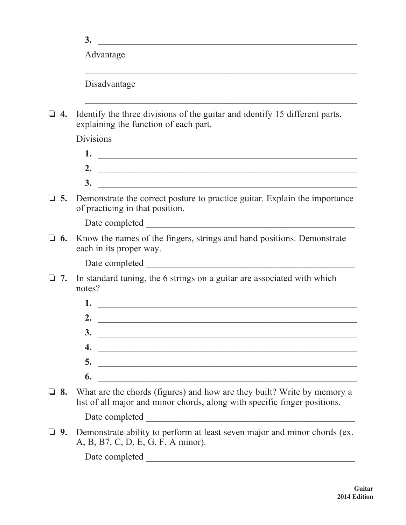Advantage

Disadvantage

 $\Box$  **4.** Identify the three divisions of the guitar and identify 15 different parts, explaining the function of each part.

 $\mathcal{L}_\text{max} = \frac{1}{2} \sum_{i=1}^{n} \frac{1}{2} \sum_{i=1}^{n} \frac{1}{2} \sum_{i=1}^{n} \frac{1}{2} \sum_{i=1}^{n} \frac{1}{2} \sum_{i=1}^{n} \frac{1}{2} \sum_{i=1}^{n} \frac{1}{2} \sum_{i=1}^{n} \frac{1}{2} \sum_{i=1}^{n} \frac{1}{2} \sum_{i=1}^{n} \frac{1}{2} \sum_{i=1}^{n} \frac{1}{2} \sum_{i=1}^{n} \frac{1}{2} \sum_{i=1}^{n} \frac{1$ 

 $\frac{1}{2}$  ,  $\frac{1}{2}$  ,  $\frac{1}{2}$  ,  $\frac{1}{2}$  ,  $\frac{1}{2}$  ,  $\frac{1}{2}$  ,  $\frac{1}{2}$  ,  $\frac{1}{2}$  ,  $\frac{1}{2}$  ,  $\frac{1}{2}$  ,  $\frac{1}{2}$  ,  $\frac{1}{2}$  ,  $\frac{1}{2}$  ,  $\frac{1}{2}$  ,  $\frac{1}{2}$  ,  $\frac{1}{2}$  ,  $\frac{1}{2}$  ,  $\frac{1}{2}$  ,  $\frac{1$ 

Divisions

- **1.** \_\_\_\_\_\_\_\_\_\_\_\_\_\_\_\_\_\_\_\_\_\_\_\_\_\_\_\_\_\_\_\_\_\_\_\_\_\_\_\_\_\_\_\_\_\_\_\_\_\_\_\_\_\_\_  **2.** \_\_\_\_\_\_\_\_\_\_\_\_\_\_\_\_\_\_\_\_\_\_\_\_\_\_\_\_\_\_\_\_\_\_\_\_\_\_\_\_\_\_\_\_\_\_\_\_\_\_\_\_\_\_\_  **3.** \_\_\_\_\_\_\_\_\_\_\_\_\_\_\_\_\_\_\_\_\_\_\_\_\_\_\_\_\_\_\_\_\_\_\_\_\_\_\_\_\_\_\_\_\_\_\_\_\_\_\_\_\_\_\_
- $\Box$  5. Demonstrate the correct posture to practice guitar. Explain the importance of practicing in that position.

Date completed \_\_\_\_\_\_\_\_\_\_\_\_\_\_\_\_\_\_\_\_\_\_\_\_\_\_\_\_\_\_\_\_\_\_\_\_\_\_\_\_\_\_\_\_\_

 $\Box$  6. Know the names of the fingers, strings and hand positions. Demonstrate each in its proper way.

Date completed \_\_\_\_\_\_\_\_\_\_\_\_\_\_\_\_\_\_\_\_\_\_\_\_\_\_\_\_\_\_\_\_\_\_\_\_\_\_\_\_\_\_\_\_\_

- $\Box$  7. In standard tuning, the 6 strings on a guitar are associated with which notes?
	- **1.** \_\_\_\_\_\_\_\_\_\_\_\_\_\_\_\_\_\_\_\_\_\_\_\_\_\_\_\_\_\_\_\_\_\_\_\_\_\_\_\_\_\_\_\_\_\_\_\_\_\_\_\_\_\_\_  **2.** \_\_\_\_\_\_\_\_\_\_\_\_\_\_\_\_\_\_\_\_\_\_\_\_\_\_\_\_\_\_\_\_\_\_\_\_\_\_\_\_\_\_\_\_\_\_\_\_\_\_\_\_\_\_\_  **3.** \_\_\_\_\_\_\_\_\_\_\_\_\_\_\_\_\_\_\_\_\_\_\_\_\_\_\_\_\_\_\_\_\_\_\_\_\_\_\_\_\_\_\_\_\_\_\_\_\_\_\_\_\_\_\_  **4.** \_\_\_\_\_\_\_\_\_\_\_\_\_\_\_\_\_\_\_\_\_\_\_\_\_\_\_\_\_\_\_\_\_\_\_\_\_\_\_\_\_\_\_\_\_\_\_\_\_\_\_\_\_\_\_  **5.** \_\_\_\_\_\_\_\_\_\_\_\_\_\_\_\_\_\_\_\_\_\_\_\_\_\_\_\_\_\_\_\_\_\_\_\_\_\_\_\_\_\_\_\_\_\_\_\_\_\_\_\_\_\_\_  **6.** \_\_\_\_\_\_\_\_\_\_\_\_\_\_\_\_\_\_\_\_\_\_\_\_\_\_\_\_\_\_\_\_\_\_\_\_\_\_\_\_\_\_\_\_\_\_\_\_\_\_\_\_\_\_\_
- **8.** What are the chords (figures) and how are they built? Write by memory a list of all major and minor chords, along with specific finger positions.

Date completed \_\_\_\_\_\_\_\_\_\_\_\_\_\_\_\_\_\_\_\_\_\_\_\_\_\_\_\_\_\_\_\_\_\_\_\_\_\_\_\_\_\_\_\_\_

**9.** Demonstrate ability to perform at least seven major and minor chords (ex. A, B, B7, C, D, E, G, F, A minor).

Date completed \_\_\_\_\_\_\_\_\_\_\_\_\_\_\_\_\_\_\_\_\_\_\_\_\_\_\_\_\_\_\_\_\_\_\_\_\_\_\_\_\_\_\_\_\_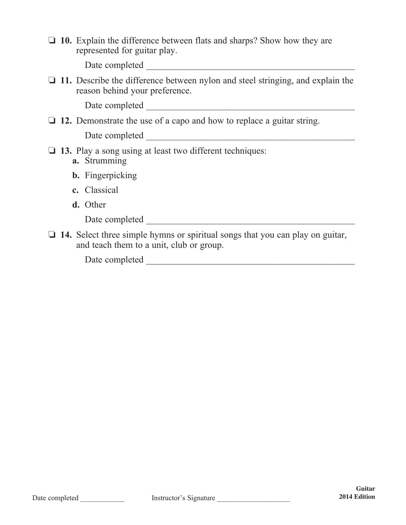□ 10. Explain the difference between flats and sharps? Show how they are represented for guitar play.

Date completed \_\_\_\_\_\_\_\_\_\_\_\_\_\_\_\_\_\_\_\_\_\_\_\_\_\_\_\_\_\_\_\_\_\_\_\_\_\_\_\_\_\_\_\_\_

 $\Box$  11. Describe the difference between nylon and steel stringing, and explain the reason behind your preference.

Date completed \_\_\_\_\_\_\_\_\_\_\_\_\_\_\_\_\_\_\_\_\_\_\_\_\_\_\_\_\_\_\_\_\_\_\_\_\_\_\_\_\_\_\_\_\_

□ 12. Demonstrate the use of a capo and how to replace a guitar string.

Date completed \_\_\_\_\_\_\_\_\_\_\_\_\_\_\_\_\_\_\_\_\_\_\_\_\_\_\_\_\_\_\_\_\_\_\_\_\_\_\_\_\_\_\_\_\_

- **13.** Play a song using at least two different techniques:
	- **a.** Strumming
	- **b.** Fingerpicking
	- **c.** Classical
	- **d.** Other

Date completed \_\_\_\_\_\_\_\_\_\_\_\_\_\_\_\_\_\_\_\_\_\_\_\_\_\_\_\_\_\_\_\_\_\_\_\_\_\_\_\_\_\_\_\_\_

**14.** Select three simple hymns or spiritual songs that you can play on guitar, and teach them to a unit, club or group.

Date completed \_\_\_\_\_\_\_\_\_\_\_\_\_\_\_\_\_\_\_\_\_\_\_\_\_\_\_\_\_\_\_\_\_\_\_\_\_\_\_\_\_\_\_\_\_